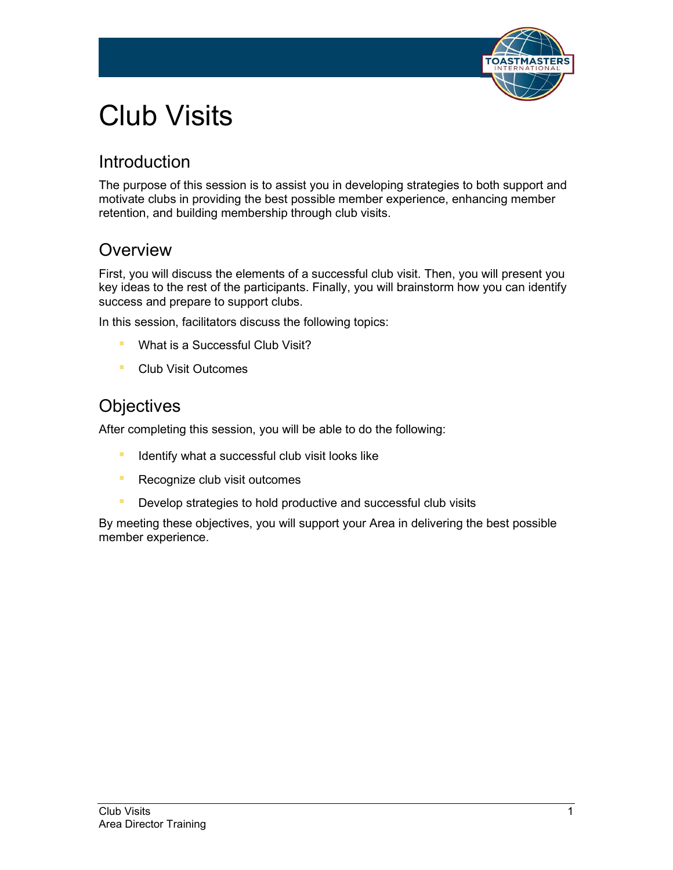

# Club Visits

### Introduction

The purpose of this session is to assist you in developing strategies to both support and motivate clubs in providing the best possible member experience, enhancing member retention, and building membership through club visits.

### **Overview**

First, you will discuss the elements of a successful club visit. Then, you will present you key ideas to the rest of the participants. Finally, you will brainstorm how you can identify success and prepare to support clubs.

In this session, facilitators discuss the following topics:

- **What is a Successful Club Visit?**
- Club Visit Outcomes

### **Objectives**

After completing this session, you will be able to do the following:

- **E** Identify what a successful club visit looks like
- **EXECOGNIZE CONDUCTS** Recognize club visit outcomes
- **Develop strategies to hold productive and successful club visits**

By meeting these objectives, you will support your Area in delivering the best possible member experience.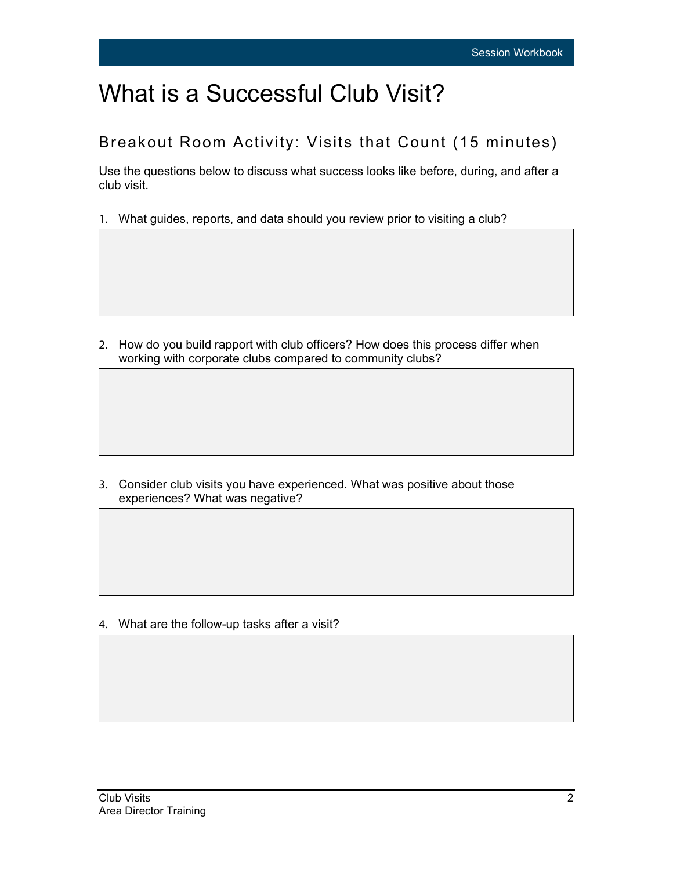# What is a Successful Club Visit?

#### Breakout Room Activity: Visits that Count (15 minutes)

Use the questions below to discuss what success looks like before, during, and after a club visit.

1. What guides, reports, and data should you review prior to visiting a club?

2. How do you build rapport with club officers? How does this process differ when working with corporate clubs compared to community clubs?

3. Consider club visits you have experienced. What was positive about those experiences? What was negative?

4. What are the follow-up tasks after a visit?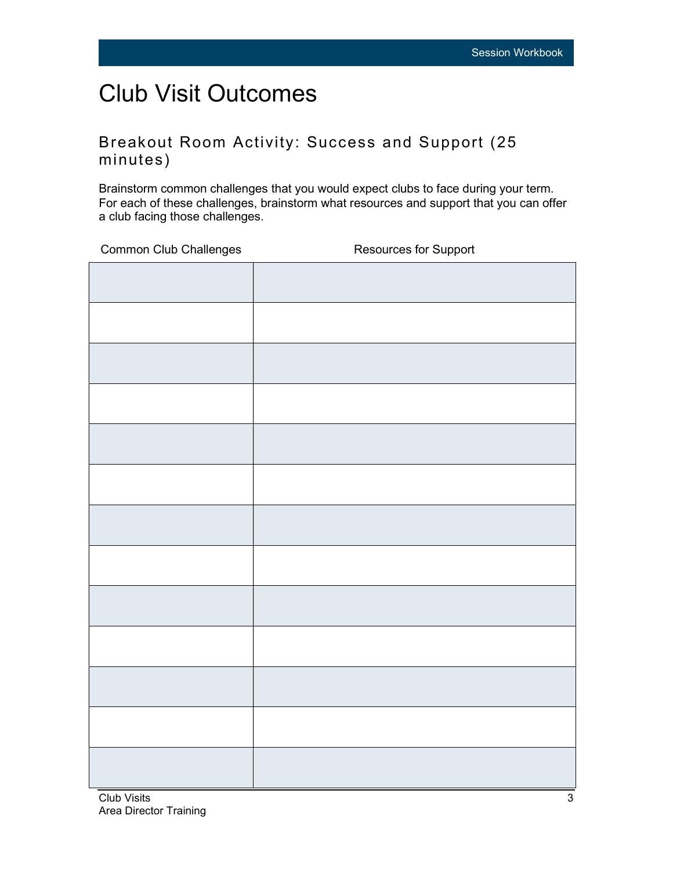# Club Visit Outcomes

#### Breakout Room Activity: Success and Support (25 minutes)

Brainstorm common challenges that you would expect clubs to face during your term. For each of these challenges, brainstorm what resources and support that you can offer a club facing those challenges.

Common Club Challenges Resources for Support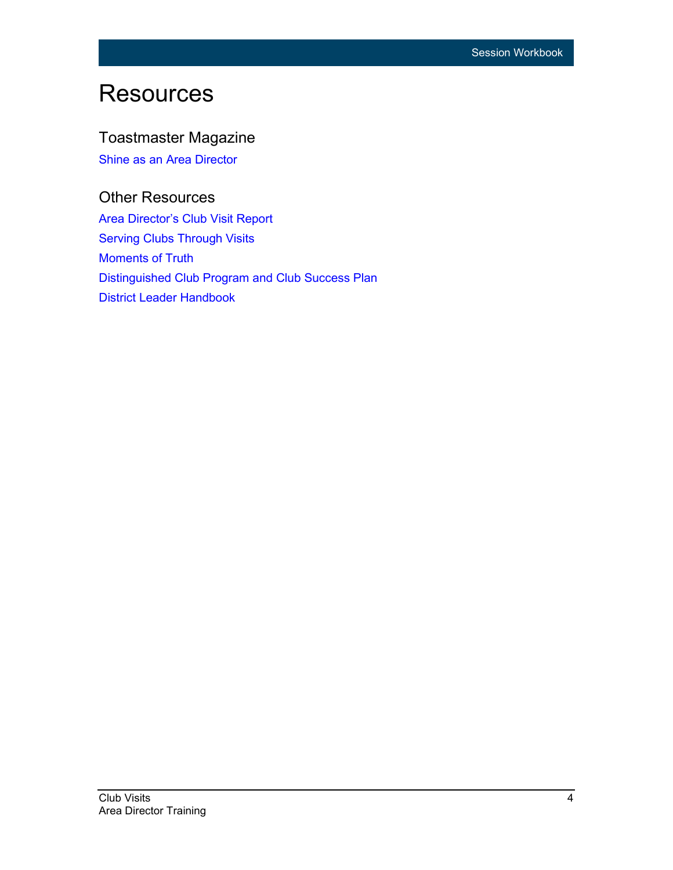## **Resources**

#### Toastmaster Magazine

[Shine as an Area Director](https://www.toastmasters.org/magazine/magazine-issues/2020/oct/area-council-meetings)

#### Other Resources

[Area Director's Club Visit Report](https://www.toastmasters.org/resources/area-directors-club-visit-report-1471) [Serving Clubs Through Visits](https://toastmasterscdn.azureedge.net/medias/files/department-documents/club-documents/219-serving-clubs-through-visits-a-guide-for-area-directors.pdf)  [Moments of Truth](http://www.toastmasters.org/290) [Distinguished Club Program and Club Success Plan](https://www.toastmasters.org/resources/distinguished-club-program-and-club-success-plan-english)  [District Leader Handbook](https://www.toastmasters.org/-/media/files/department-documents/district-documents/222-district-leadership-handbook.ashx)